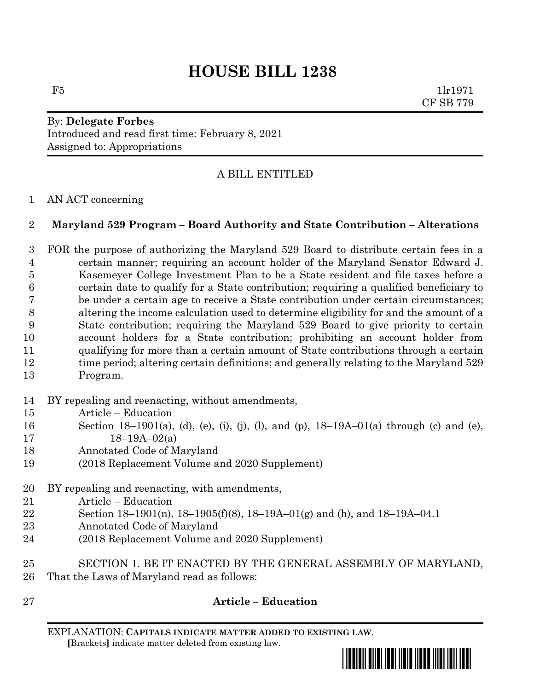# **HOUSE BILL 1238**

 $F5$  1lr1971 CF SB 779

# By: **Delegate Forbes** Introduced and read first time: February 8, 2021 Assigned to: Appropriations

## A BILL ENTITLED

#### AN ACT concerning

#### **Maryland 529 Program – Board Authority and State Contribution – Alterations**

 FOR the purpose of authorizing the Maryland 529 Board to distribute certain fees in a certain manner; requiring an account holder of the Maryland Senator Edward J. Kasemeyer College Investment Plan to be a State resident and file taxes before a certain date to qualify for a State contribution; requiring a qualified beneficiary to be under a certain age to receive a State contribution under certain circumstances; altering the income calculation used to determine eligibility for and the amount of a State contribution; requiring the Maryland 529 Board to give priority to certain account holders for a State contribution; prohibiting an account holder from qualifying for more than a certain amount of State contributions through a certain 12 time period; altering certain definitions; and generally relating to the Maryland 529 Program.

- BY repealing and reenacting, without amendments,
- Article Education
- Section 18–1901(a), (d), (e), (i), (j), (l), and (p), 18–19A–01(a) through (c) and (e),  $17 \t18-19A-02(a)$
- Annotated Code of Maryland
- (2018 Replacement Volume and 2020 Supplement)
- BY repealing and reenacting, with amendments,
- Article Education
- Section 18–1901(n), 18–1905(f)(8), 18–19A–01(g) and (h), and 18–19A–04.1
- Annotated Code of Maryland
- (2018 Replacement Volume and 2020 Supplement)
- SECTION 1. BE IT ENACTED BY THE GENERAL ASSEMBLY OF MARYLAND, That the Laws of Maryland read as follows:
- 

### **Article – Education**

EXPLANATION: **CAPITALS INDICATE MATTER ADDED TO EXISTING LAW**.  **[**Brackets**]** indicate matter deleted from existing law.

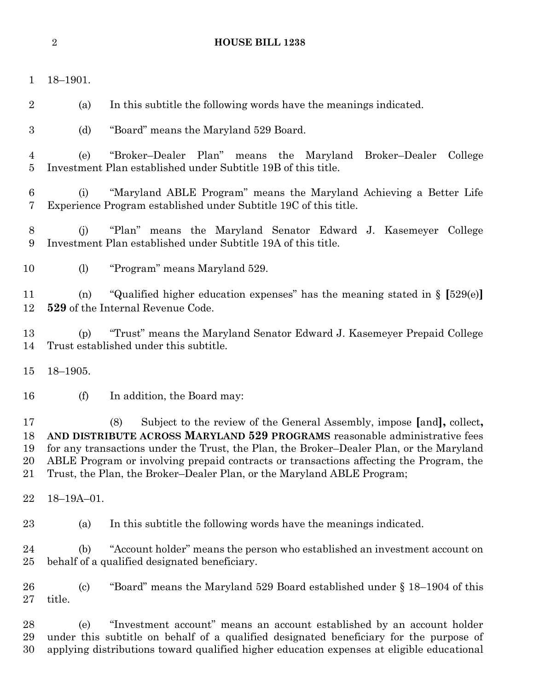18–1901.

(a) In this subtitle the following words have the meanings indicated.

(d) "Board" means the Maryland 529 Board.

 (e) "Broker–Dealer Plan" means the Maryland Broker–Dealer College Investment Plan established under Subtitle 19B of this title.

 (i) "Maryland ABLE Program" means the Maryland Achieving a Better Life Experience Program established under Subtitle 19C of this title.

 (j) "Plan" means the Maryland Senator Edward J. Kasemeyer College Investment Plan established under Subtitle 19A of this title.

(l) "Program" means Maryland 529.

 (n) "Qualified higher education expenses" has the meaning stated in § **[**529(e)**] 529** of the Internal Revenue Code.

 (p) "Trust" means the Maryland Senator Edward J. Kasemeyer Prepaid College Trust established under this subtitle.

18–1905.

(f) In addition, the Board may:

 (8) Subject to the review of the General Assembly, impose **[**and**],** collect**, AND DISTRIBUTE ACROSS MARYLAND 529 PROGRAMS** reasonable administrative fees for any transactions under the Trust, the Plan, the Broker–Dealer Plan, or the Maryland ABLE Program or involving prepaid contracts or transactions affecting the Program, the Trust, the Plan, the Broker–Dealer Plan, or the Maryland ABLE Program;

18–19A–01.

(a) In this subtitle the following words have the meanings indicated.

 (b) "Account holder" means the person who established an investment account on behalf of a qualified designated beneficiary.

 (c) "Board" means the Maryland 529 Board established under § 18–1904 of this title.

 (e) "Investment account" means an account established by an account holder under this subtitle on behalf of a qualified designated beneficiary for the purpose of applying distributions toward qualified higher education expenses at eligible educational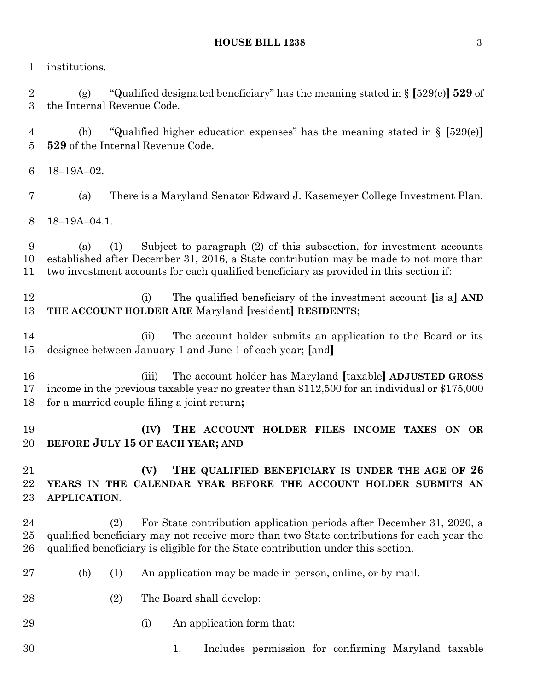institutions.

 (g) "Qualified designated beneficiary" has the meaning stated in § **[**529(e)**] 529** of the Internal Revenue Code.

 (h) "Qualified higher education expenses" has the meaning stated in § **[**529(e)**] 529** of the Internal Revenue Code.

- 18–19A–02.
- (a) There is a Maryland Senator Edward J. Kasemeyer College Investment Plan.

18–19A–04.1.

 (a) (1) Subject to paragraph (2) of this subsection, for investment accounts established after December 31, 2016, a State contribution may be made to not more than two investment accounts for each qualified beneficiary as provided in this section if:

 (i) The qualified beneficiary of the investment account **[**is a**] AND THE ACCOUNT HOLDER ARE** Maryland **[**resident**] RESIDENTS**;

 (ii) The account holder submits an application to the Board or its designee between January 1 and June 1 of each year; **[**and**]**

 (iii) The account holder has Maryland **[**taxable**] ADJUSTED GROSS** income in the previous taxable year no greater than \$112,500 for an individual or \$175,000 for a married couple filing a joint return**;**

 **(IV) THE ACCOUNT HOLDER FILES INCOME TAXES ON OR BEFORE JULY 15 OF EACH YEAR; AND**

 **(V) THE QUALIFIED BENEFICIARY IS UNDER THE AGE OF 26 YEARS IN THE CALENDAR YEAR BEFORE THE ACCOUNT HOLDER SUBMITS AN APPLICATION**.

 (2) For State contribution application periods after December 31, 2020, a qualified beneficiary may not receive more than two State contributions for each year the qualified beneficiary is eligible for the State contribution under this section.

- (b) (1) An application may be made in person, online, or by mail.
- 28 (2) The Board shall develop:
- (i) An application form that:
- 1. Includes permission for confirming Maryland taxable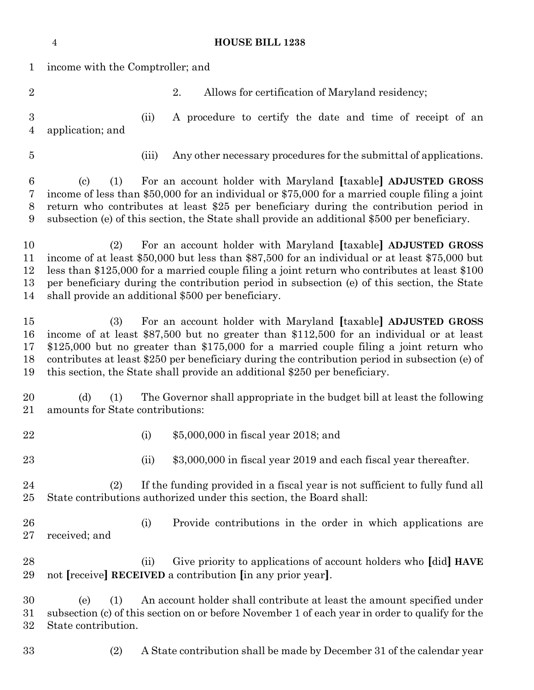|                                    | $\overline{4}$                                                                                                                                                                                                                                                                                                                                                                                                                           |       | <b>HOUSE BILL 1238</b>                                                                                                        |
|------------------------------------|------------------------------------------------------------------------------------------------------------------------------------------------------------------------------------------------------------------------------------------------------------------------------------------------------------------------------------------------------------------------------------------------------------------------------------------|-------|-------------------------------------------------------------------------------------------------------------------------------|
| $\mathbf 1$                        | income with the Comptroller; and                                                                                                                                                                                                                                                                                                                                                                                                         |       |                                                                                                                               |
| $\overline{2}$                     |                                                                                                                                                                                                                                                                                                                                                                                                                                          |       | 2.<br>Allows for certification of Maryland residency;                                                                         |
| $\boldsymbol{3}$<br>$\overline{4}$ | application; and                                                                                                                                                                                                                                                                                                                                                                                                                         | (ii)  | A procedure to certify the date and time of receipt of an                                                                     |
| $\overline{5}$                     |                                                                                                                                                                                                                                                                                                                                                                                                                                          | (iii) | Any other necessary procedures for the submittal of applications.                                                             |
| 6<br>7<br>8<br>9                   | For an account holder with Maryland [taxable] ADJUSTED GROSS<br>$\left( \mathrm{c}\right)$<br>(1)<br>income of less than \$50,000 for an individual or \$75,000 for a married couple filing a joint<br>return who contributes at least \$25 per beneficiary during the contribution period in<br>subsection (e) of this section, the State shall provide an additional \$500 per beneficiary.                                            |       |                                                                                                                               |
| 10<br>11<br>12<br>13<br>14         | For an account holder with Maryland [taxable] ADJUSTED GROSS<br>(2)<br>income of at least \$50,000 but less than \$87,500 for an individual or at least \$75,000 but<br>less than \$125,000 for a married couple filing a joint return who contributes at least \$100<br>per beneficiary during the contribution period in subsection (e) of this section, the State<br>shall provide an additional \$500 per beneficiary.               |       |                                                                                                                               |
| 15<br>16<br>17<br>18<br>19         | For an account holder with Maryland [taxable] ADJUSTED GROSS<br>(3)<br>income of at least \$87,500 but no greater than \$112,500 for an individual or at least<br>\$125,000 but no greater than \$175,000 for a married couple filing a joint return who<br>contributes at least \$250 per beneficiary during the contribution period in subsection (e) of<br>this section, the State shall provide an additional \$250 per beneficiary. |       |                                                                                                                               |
| 20<br>21                           | The Governor shall appropriate in the budget bill at least the following<br>(d)<br>(1)<br>amounts for State contributions:                                                                                                                                                                                                                                                                                                               |       |                                                                                                                               |
| 22                                 |                                                                                                                                                                                                                                                                                                                                                                                                                                          | (i)   | \$5,000,000 in fiscal year 2018; and                                                                                          |
| 23                                 |                                                                                                                                                                                                                                                                                                                                                                                                                                          | (ii)  | \$3,000,000 in fiscal year 2019 and each fiscal year thereafter.                                                              |
| 24<br>25                           | If the funding provided in a fiscal year is not sufficient to fully fund all<br>(2)<br>State contributions authorized under this section, the Board shall:                                                                                                                                                                                                                                                                               |       |                                                                                                                               |
| 26<br>27                           | received; and                                                                                                                                                                                                                                                                                                                                                                                                                            | (i)   | Provide contributions in the order in which applications are                                                                  |
| 28<br>29                           |                                                                                                                                                                                                                                                                                                                                                                                                                                          | (ii)  | Give priority to applications of account holders who [did] HAVE<br>not [receive] RECEIVED a contribution [in any prior year]. |
| 30<br>31<br>32                     | An account holder shall contribute at least the amount specified under<br>(e)<br>(1)<br>subsection (c) of this section on or before November 1 of each year in order to qualify for the<br>State contribution.                                                                                                                                                                                                                           |       |                                                                                                                               |
| 33                                 | (2)                                                                                                                                                                                                                                                                                                                                                                                                                                      |       | A State contribution shall be made by December 31 of the calendar year                                                        |